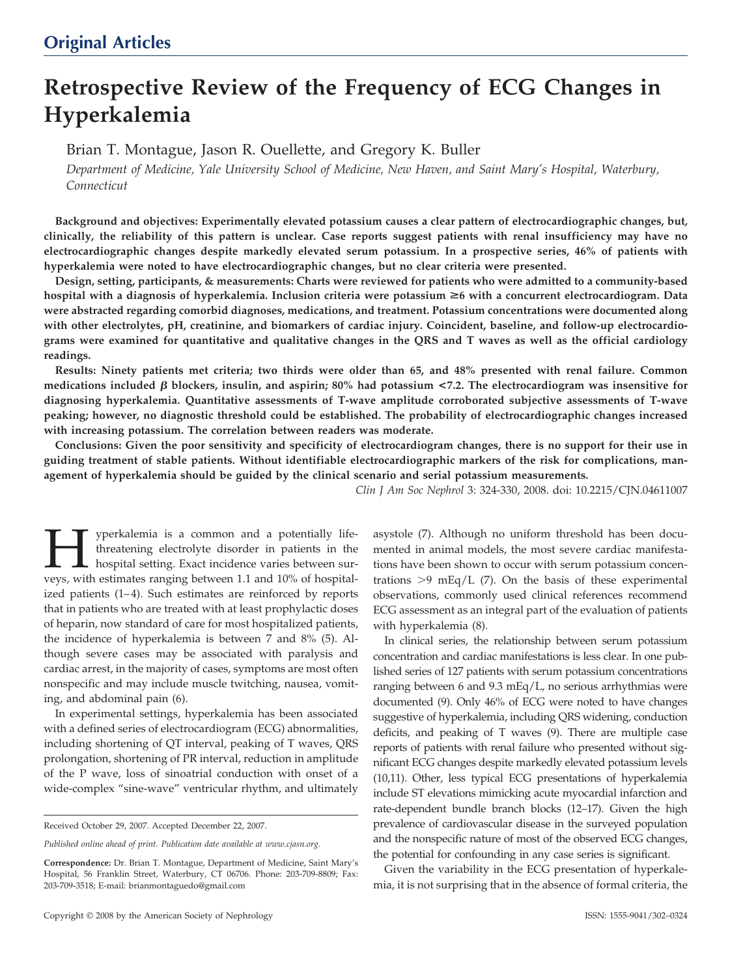# **Retrospective Review of the Frequency of ECG Changes in Hyperkalemia**

Brian T. Montague, Jason R. Ouellette, and Gregory K. Buller

*Department of Medicine, Yale University School of Medicine, New Haven, and Saint Mary's Hospital, Waterbury, Connecticut*

**Background and objectives: Experimentally elevated potassium causes a clear pattern of electrocardiographic changes, but, clinically, the reliability of this pattern is unclear. Case reports suggest patients with renal insufficiency may have no electrocardiographic changes despite markedly elevated serum potassium. In a prospective series, 46% of patients with hyperkalemia were noted to have electrocardiographic changes, but no clear criteria were presented.**

**Design, setting, participants, & measurements: Charts were reviewed for patients who were admitted to a community-based hospital with a diagnosis of hyperkalemia. Inclusion criteria were potassium** >**6 with a concurrent electrocardiogram. Data were abstracted regarding comorbid diagnoses, medications, and treatment. Potassium concentrations were documented along with other electrolytes, pH, creatinine, and biomarkers of cardiac injury. Coincident, baseline, and follow-up electrocardiograms were examined for quantitative and qualitative changes in the QRS and T waves as well as the official cardiology readings.**

**Results: Ninety patients met criteria; two thirds were older than 65, and 48% presented with renal failure. Common medications included**  $\beta$  blockers, insulin, and aspirin; 80% had potassium  $\lt$ 7.2. The electrocardiogram was insensitive for **diagnosing hyperkalemia. Quantitative assessments of T-wave amplitude corroborated subjective assessments of T-wave peaking; however, no diagnostic threshold could be established. The probability of electrocardiographic changes increased with increasing potassium. The correlation between readers was moderate.**

**Conclusions: Given the poor sensitivity and specificity of electrocardiogram changes, there is no support for their use in guiding treatment of stable patients. Without identifiable electrocardiographic markers of the risk for complications, management of hyperkalemia should be guided by the clinical scenario and serial potassium measurements.**

*Clin J Am Soc Nephrol* 3: 324-330, 2008. doi: 10.2215/CJN.04611007

**Hermia** is a common and a potentially life-<br>threatening electrolyte disorder in patients in the<br>hospital setting. Exact incidence varies between sur-<br>vevs. with estimates ranging between 1.1 and 10% of hospitalthreatening electrolyte disorder in patients in the hospital setting. Exact incidence varies between surveys, with estimates ranging between 1.1 and 10% of hospitalized patients (1-4). Such estimates are reinforced by reports that in patients who are treated with at least prophylactic doses of heparin, now standard of care for most hospitalized patients, the incidence of hyperkalemia is between 7 and 8% (5). Although severe cases may be associated with paralysis and cardiac arrest, in the majority of cases, symptoms are most often nonspecific and may include muscle twitching, nausea, vomiting, and abdominal pain (6).

In experimental settings, hyperkalemia has been associated with a defined series of electrocardiogram (ECG) abnormalities, including shortening of QT interval, peaking of T waves, QRS prolongation, shortening of PR interval, reduction in amplitude of the P wave, loss of sinoatrial conduction with onset of a wide-complex "sine-wave" ventricular rhythm, and ultimately asystole (7). Although no uniform threshold has been documented in animal models, the most severe cardiac manifestations have been shown to occur with serum potassium concentrations  $>9$  mEq/L (7). On the basis of these experimental observations, commonly used clinical references recommend ECG assessment as an integral part of the evaluation of patients with hyperkalemia (8).

In clinical series, the relationship between serum potassium concentration and cardiac manifestations is less clear. In one published series of 127 patients with serum potassium concentrations ranging between 6 and 9.3 mEq/L, no serious arrhythmias were documented (9). Only 46% of ECG were noted to have changes suggestive of hyperkalemia, including QRS widening, conduction deficits, and peaking of T waves (9). There are multiple case reports of patients with renal failure who presented without significant ECG changes despite markedly elevated potassium levels (10,11). Other, less typical ECG presentations of hyperkalemia include ST elevations mimicking acute myocardial infarction and rate-dependent bundle branch blocks (12–17). Given the high prevalence of cardiovascular disease in the surveyed population and the nonspecific nature of most of the observed ECG changes, the potential for confounding in any case series is significant.

Given the variability in the ECG presentation of hyperkalemia, it is not surprising that in the absence of formal criteria, the

Received October 29, 2007. Accepted December 22, 2007.

*Published online ahead of print. Publication date available at www.cjasn.org.*

**Correspondence:** Dr. Brian T. Montague, Department of Medicine, Saint Mary's Hospital, 56 Franklin Street, Waterbury, CT 06706. Phone: 203-709-8809; Fax: 203-709-3518; E-mail: brianmontaguedo@gmail.com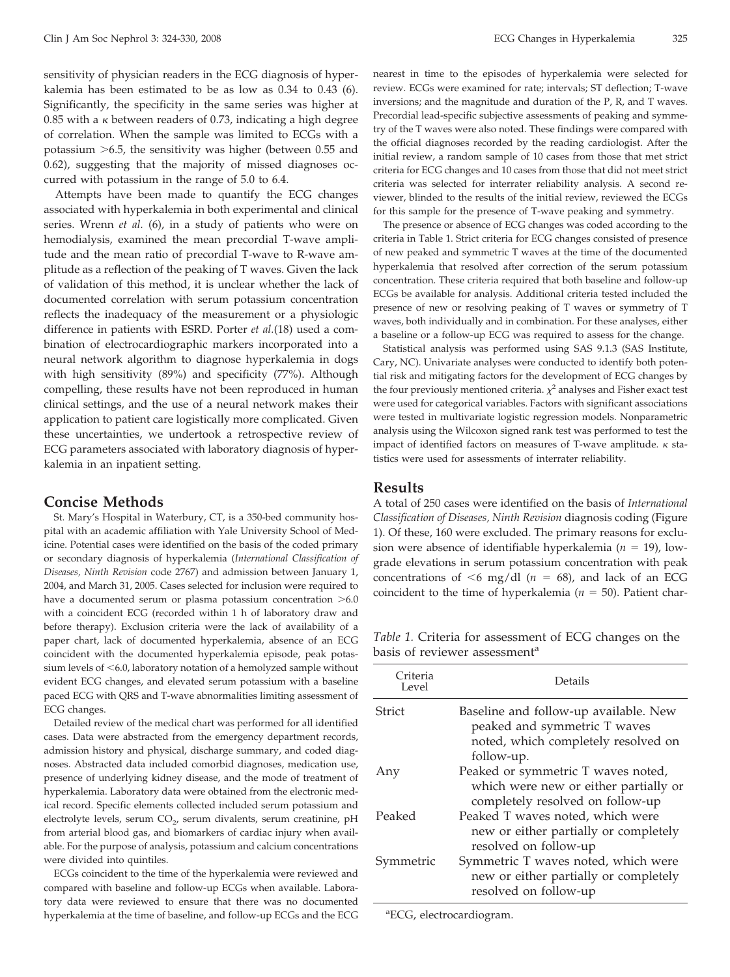sensitivity of physician readers in the ECG diagnosis of hyperkalemia has been estimated to be as low as 0.34 to 0.43 (6). Significantly, the specificity in the same series was higher at 0.85 with a  $\kappa$  between readers of 0.73, indicating a high degree of correlation. When the sample was limited to ECGs with a potassium  $>6.5$ , the sensitivity was higher (between 0.55 and 0.62), suggesting that the majority of missed diagnoses occurred with potassium in the range of 5.0 to 6.4.

Attempts have been made to quantify the ECG changes associated with hyperkalemia in both experimental and clinical series. Wrenn *et al.* (6), in a study of patients who were on hemodialysis, examined the mean precordial T-wave amplitude and the mean ratio of precordial T-wave to R-wave amplitude as a reflection of the peaking of T waves. Given the lack of validation of this method, it is unclear whether the lack of documented correlation with serum potassium concentration reflects the inadequacy of the measurement or a physiologic difference in patients with ESRD. Porter *et al.*(18) used a combination of electrocardiographic markers incorporated into a neural network algorithm to diagnose hyperkalemia in dogs with high sensitivity (89%) and specificity (77%). Although compelling, these results have not been reproduced in human clinical settings, and the use of a neural network makes their application to patient care logistically more complicated. Given these uncertainties, we undertook a retrospective review of ECG parameters associated with laboratory diagnosis of hyperkalemia in an inpatient setting.

## **Concise Methods**

St. Mary's Hospital in Waterbury, CT, is a 350-bed community hospital with an academic affiliation with Yale University School of Medicine. Potential cases were identified on the basis of the coded primary or secondary diagnosis of hyperkalemia (*International Classification of Diseases, Ninth Revision* code 2767) and admission between January 1, 2004, and March 31, 2005. Cases selected for inclusion were required to have a documented serum or plasma potassium concentration  $>6.0$ with a coincident ECG (recorded within 1 h of laboratory draw and before therapy). Exclusion criteria were the lack of availability of a paper chart, lack of documented hyperkalemia, absence of an ECG coincident with the documented hyperkalemia episode, peak potassium levels of -6.0, laboratory notation of a hemolyzed sample without evident ECG changes, and elevated serum potassium with a baseline paced ECG with QRS and T-wave abnormalities limiting assessment of ECG changes.

Detailed review of the medical chart was performed for all identified cases. Data were abstracted from the emergency department records, admission history and physical, discharge summary, and coded diagnoses. Abstracted data included comorbid diagnoses, medication use, presence of underlying kidney disease, and the mode of treatment of hyperkalemia. Laboratory data were obtained from the electronic medical record. Specific elements collected included serum potassium and electrolyte levels, serum CO<sub>2</sub>, serum divalents, serum creatinine, pH from arterial blood gas, and biomarkers of cardiac injury when available. For the purpose of analysis, potassium and calcium concentrations were divided into quintiles.

ECGs coincident to the time of the hyperkalemia were reviewed and compared with baseline and follow-up ECGs when available. Laboratory data were reviewed to ensure that there was no documented hyperkalemia at the time of baseline, and follow-up ECGs and the ECG nearest in time to the episodes of hyperkalemia were selected for review. ECGs were examined for rate; intervals; ST deflection; T-wave inversions; and the magnitude and duration of the P, R, and T waves. Precordial lead-specific subjective assessments of peaking and symmetry of the T waves were also noted. These findings were compared with the official diagnoses recorded by the reading cardiologist. After the initial review, a random sample of 10 cases from those that met strict criteria for ECG changes and 10 cases from those that did not meet strict criteria was selected for interrater reliability analysis. A second reviewer, blinded to the results of the initial review, reviewed the ECGs for this sample for the presence of T-wave peaking and symmetry.

The presence or absence of ECG changes was coded according to the criteria in Table 1. Strict criteria for ECG changes consisted of presence of new peaked and symmetric T waves at the time of the documented hyperkalemia that resolved after correction of the serum potassium concentration. These criteria required that both baseline and follow-up ECGs be available for analysis. Additional criteria tested included the presence of new or resolving peaking of T waves or symmetry of T waves, both individually and in combination. For these analyses, either a baseline or a follow-up ECG was required to assess for the change.

Statistical analysis was performed using SAS 9.1.3 (SAS Institute, Cary, NC). Univariate analyses were conducted to identify both potential risk and mitigating factors for the development of ECG changes by the four previously mentioned criteria.  $\chi^2$  analyses and Fisher exact test were used for categorical variables. Factors with significant associations were tested in multivariate logistic regression models. Nonparametric analysis using the Wilcoxon signed rank test was performed to test the impact of identified factors on measures of T-wave amplitude.  $\kappa$  statistics were used for assessments of interrater reliability.

## **Results**

A total of 250 cases were identified on the basis of *International Classification of Diseases, Ninth Revision* diagnosis coding (Figure 1). Of these, 160 were excluded. The primary reasons for exclusion were absence of identifiable hyperkalemia ( $n = 19$ ), lowgrade elevations in serum potassium concentration with peak concentrations of  $\leq 6$  mg/dl ( $n = 68$ ), and lack of an ECG coincident to the time of hyperkalemia ( $n = 50$ ). Patient char-

*Table 1.* Criteria for assessment of ECG changes on the basis of reviewer assessment<sup>a</sup>

| Criteria<br>Level | Details                                                                                                                    |  |  |  |
|-------------------|----------------------------------------------------------------------------------------------------------------------------|--|--|--|
| Strict            | Baseline and follow-up available. New<br>peaked and symmetric T waves<br>noted, which completely resolved on<br>follow-up. |  |  |  |
| Any               | Peaked or symmetric T waves noted,<br>which were new or either partially or<br>completely resolved on follow-up            |  |  |  |
| Peaked            | Peaked T waves noted, which were<br>new or either partially or completely<br>resolved on follow-up                         |  |  |  |
| Symmetric         | Symmetric T waves noted, which were<br>new or either partially or completely<br>resolved on follow-up                      |  |  |  |

a ECG, electrocardiogram.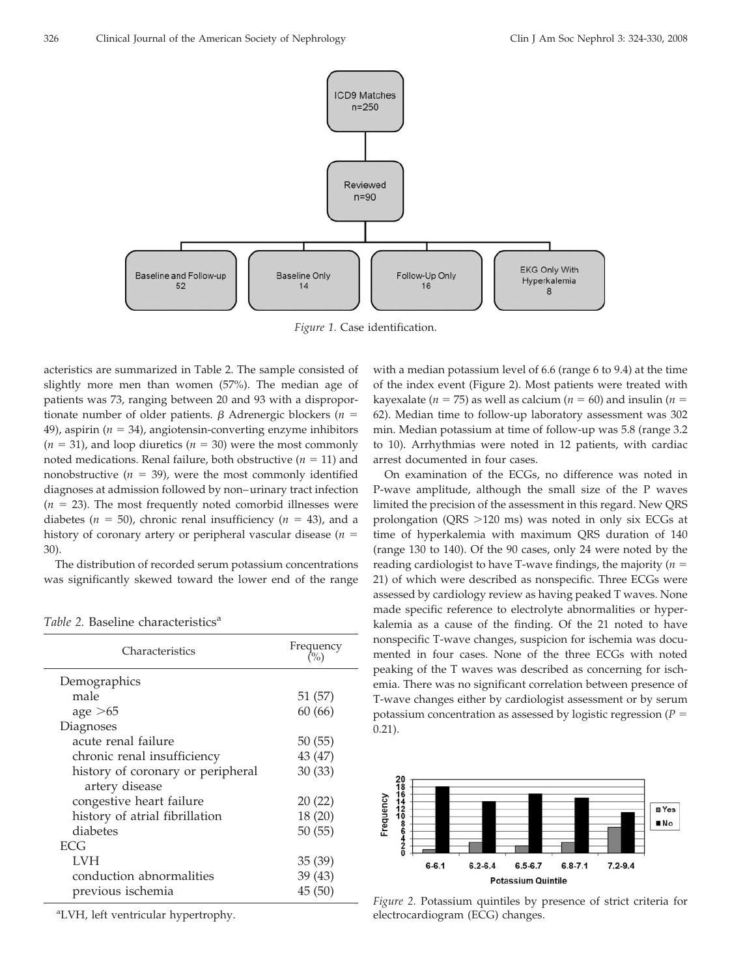

*Figure 1.* Case identification.

acteristics are summarized in Table 2. The sample consisted of slightly more men than women (57%). The median age of patients was 73, ranging between 20 and 93 with a disproportionate number of older patients.  $\beta$  Adrenergic blockers ( $n =$ 49), aspirin  $(n = 34)$ , angiotensin-converting enzyme inhibitors  $(n = 31)$ , and loop diuretics  $(n = 30)$  were the most commonly noted medications. Renal failure, both obstructive  $(n = 11)$  and nonobstructive  $(n = 39)$ , were the most commonly identified diagnoses at admission followed by non–urinary tract infection  $(n = 23)$ . The most frequently noted comorbid illnesses were diabetes ( $n = 50$ ), chronic renal insufficiency ( $n = 43$ ), and a history of coronary artery or peripheral vascular disease (*n* 30).

The distribution of recorded serum potassium concentrations was significantly skewed toward the lower end of the range

*Table 2.* Baseline characteristics<sup>a</sup>

| Characteristics                                     | Frequency<br>$\binom{0}{0}$ |  |
|-----------------------------------------------------|-----------------------------|--|
| Demographics                                        |                             |  |
| male                                                | 51 (57)                     |  |
| age $>65$                                           | 60 (66)                     |  |
| Diagnoses                                           |                             |  |
| acute renal failure                                 | 50(55)                      |  |
| chronic renal insufficiency                         | 43 (47)                     |  |
| history of coronary or peripheral<br>artery disease | 30(33)                      |  |
| congestive heart failure                            | 20(22)                      |  |
| history of atrial fibrillation                      | 18(20)                      |  |
| diabetes                                            | 50(55)                      |  |
| <b>ECG</b>                                          |                             |  |
| LVH                                                 | 35(39)                      |  |
| conduction abnormalities                            | 39 (43)                     |  |
| previous ischemia                                   | 45 (50)                     |  |

a LVH, left ventricular hypertrophy.

with a median potassium level of 6.6 (range 6 to 9.4) at the time of the index event (Figure 2). Most patients were treated with kayexalate ( $n = 75$ ) as well as calcium ( $n = 60$ ) and insulin ( $n =$ 62). Median time to follow-up laboratory assessment was 302 min. Median potassium at time of follow-up was 5.8 (range 3.2 to 10). Arrhythmias were noted in 12 patients, with cardiac arrest documented in four cases.

On examination of the ECGs, no difference was noted in P-wave amplitude, although the small size of the P waves limited the precision of the assessment in this regard. New QRS prolongation (QRS  $>$ 120 ms) was noted in only six ECGs at time of hyperkalemia with maximum QRS duration of 140 (range 130 to 140). Of the 90 cases, only 24 were noted by the reading cardiologist to have T-wave findings, the majority (*n* 21) of which were described as nonspecific. Three ECGs were assessed by cardiology review as having peaked T waves. None made specific reference to electrolyte abnormalities or hyperkalemia as a cause of the finding. Of the 21 noted to have nonspecific T-wave changes, suspicion for ischemia was documented in four cases. None of the three ECGs with noted peaking of the T waves was described as concerning for ischemia. There was no significant correlation between presence of T-wave changes either by cardiologist assessment or by serum potassium concentration as assessed by logistic regression (*P* 0.21).



*Figure 2.* Potassium quintiles by presence of strict criteria for electrocardiogram (ECG) changes.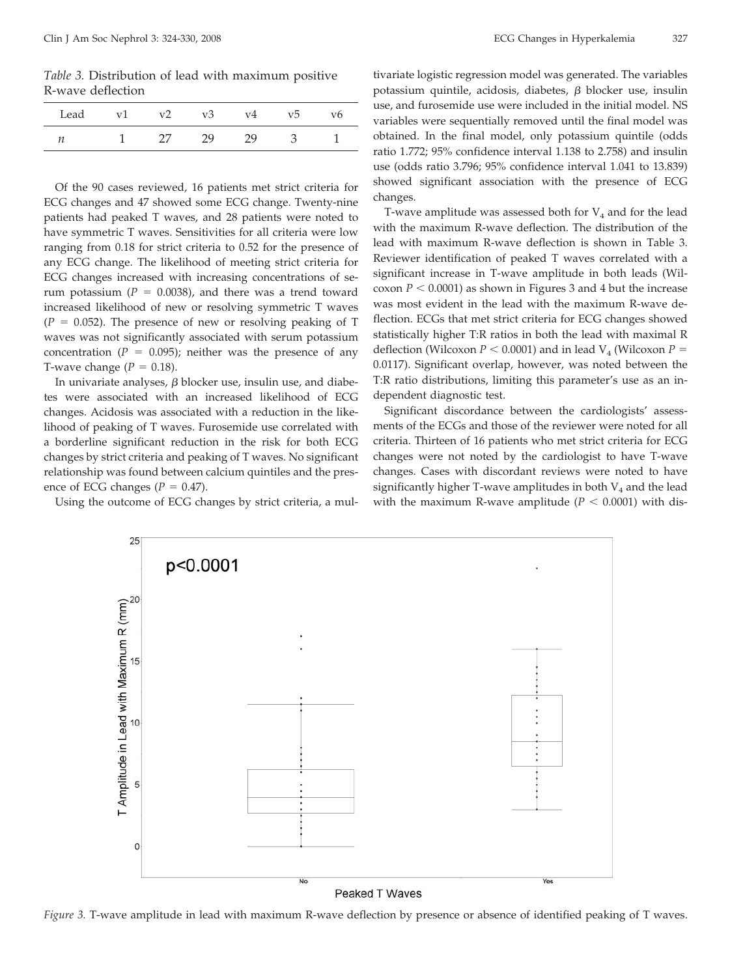*Table 3.* Distribution of lead with maximum positive R-wave deflection

| Lead | T.T |      | V3. | T/L | $V_{\rm D}$ |  |
|------|-----|------|-----|-----|-------------|--|
|      |     | . ינ |     |     |             |  |

Of the 90 cases reviewed, 16 patients met strict criteria for ECG changes and 47 showed some ECG change. Twenty-nine patients had peaked T waves, and 28 patients were noted to have symmetric T waves. Sensitivities for all criteria were low ranging from 0.18 for strict criteria to 0.52 for the presence of any ECG change. The likelihood of meeting strict criteria for ECG changes increased with increasing concentrations of serum potassium ( $P = 0.0038$ ), and there was a trend toward increased likelihood of new or resolving symmetric T waves  $(P = 0.052)$ . The presence of new or resolving peaking of T waves was not significantly associated with serum potassium concentration  $(P = 0.095)$ ; neither was the presence of any T-wave change  $(P = 0.18)$ .

In univariate analyses,  $\beta$  blocker use, insulin use, and diabetes were associated with an increased likelihood of ECG changes. Acidosis was associated with a reduction in the likelihood of peaking of T waves. Furosemide use correlated with a borderline significant reduction in the risk for both ECG changes by strict criteria and peaking of T waves. No significant relationship was found between calcium quintiles and the presence of ECG changes  $(P = 0.47)$ .

Using the outcome of ECG changes by strict criteria, a mul-

use, and furosemide use were included in the initial model. NS variables were sequentially removed until the final model was obtained. In the final model, only potassium quintile (odds ratio 1.772; 95% confidence interval 1.138 to 2.758) and insulin use (odds ratio 3.796; 95% confidence interval 1.041 to 13.839) showed significant association with the presence of ECG changes.

T-wave amplitude was assessed both for  $V_4$  and for the lead with the maximum R-wave deflection. The distribution of the lead with maximum R-wave deflection is shown in Table 3. Reviewer identification of peaked T waves correlated with a significant increase in T-wave amplitude in both leads (Wilcoxon  $P < 0.0001$ ) as shown in Figures 3 and 4 but the increase was most evident in the lead with the maximum R-wave deflection. ECGs that met strict criteria for ECG changes showed statistically higher T:R ratios in both the lead with maximal R deflection (Wilcoxon  $P < 0.0001$ ) and in lead  $V_4$  (Wilcoxon  $P =$ 0.0117). Significant overlap, however, was noted between the T:R ratio distributions, limiting this parameter's use as an independent diagnostic test.

Significant discordance between the cardiologists' assessments of the ECGs and those of the reviewer were noted for all criteria. Thirteen of 16 patients who met strict criteria for ECG changes were not noted by the cardiologist to have T-wave changes. Cases with discordant reviews were noted to have significantly higher T-wave amplitudes in both  $V_4$  and the lead with the maximum R-wave amplitude  $(P < 0.0001)$  with dis-



*Figure 3.* T-wave amplitude in lead with maximum R-wave deflection by presence or absence of identified peaking of T waves.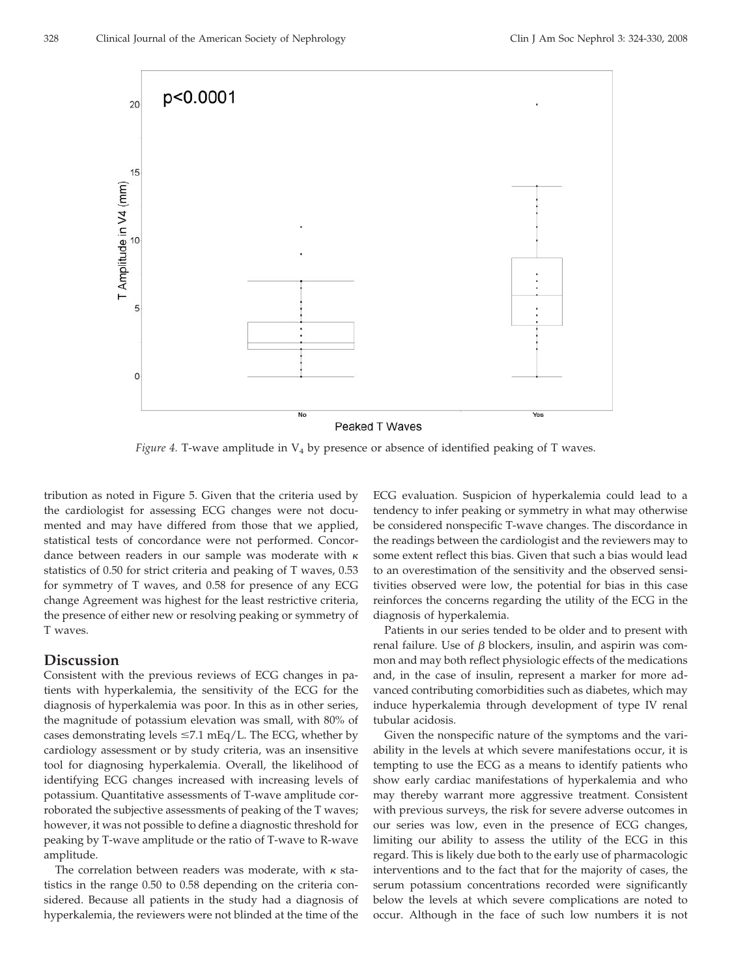

*Figure 4.* T-wave amplitude in  $V_4$  by presence or absence of identified peaking of T waves.

tribution as noted in Figure 5. Given that the criteria used by the cardiologist for assessing ECG changes were not documented and may have differed from those that we applied, statistical tests of concordance were not performed. Concordance between readers in our sample was moderate with  $\kappa$ statistics of 0.50 for strict criteria and peaking of T waves, 0.53 for symmetry of T waves, and 0.58 for presence of any ECG change Agreement was highest for the least restrictive criteria, the presence of either new or resolving peaking or symmetry of T waves.

# **Discussion**

Consistent with the previous reviews of ECG changes in patients with hyperkalemia, the sensitivity of the ECG for the diagnosis of hyperkalemia was poor. In this as in other series, the magnitude of potassium elevation was small, with 80% of cases demonstrating levels  $\leq 7.1$  mEq/L. The ECG, whether by cardiology assessment or by study criteria, was an insensitive tool for diagnosing hyperkalemia. Overall, the likelihood of identifying ECG changes increased with increasing levels of potassium. Quantitative assessments of T-wave amplitude corroborated the subjective assessments of peaking of the T waves; however, it was not possible to define a diagnostic threshold for peaking by T-wave amplitude or the ratio of T-wave to R-wave amplitude.

The correlation between readers was moderate, with  $\kappa$  statistics in the range 0.50 to 0.58 depending on the criteria considered. Because all patients in the study had a diagnosis of hyperkalemia, the reviewers were not blinded at the time of the ECG evaluation. Suspicion of hyperkalemia could lead to a tendency to infer peaking or symmetry in what may otherwise be considered nonspecific T-wave changes. The discordance in the readings between the cardiologist and the reviewers may to some extent reflect this bias. Given that such a bias would lead to an overestimation of the sensitivity and the observed sensitivities observed were low, the potential for bias in this case reinforces the concerns regarding the utility of the ECG in the diagnosis of hyperkalemia.

Patients in our series tended to be older and to present with renal failure. Use of  $\beta$  blockers, insulin, and aspirin was common and may both reflect physiologic effects of the medications and, in the case of insulin, represent a marker for more advanced contributing comorbidities such as diabetes, which may induce hyperkalemia through development of type IV renal tubular acidosis.

Given the nonspecific nature of the symptoms and the variability in the levels at which severe manifestations occur, it is tempting to use the ECG as a means to identify patients who show early cardiac manifestations of hyperkalemia and who may thereby warrant more aggressive treatment. Consistent with previous surveys, the risk for severe adverse outcomes in our series was low, even in the presence of ECG changes, limiting our ability to assess the utility of the ECG in this regard. This is likely due both to the early use of pharmacologic interventions and to the fact that for the majority of cases, the serum potassium concentrations recorded were significantly below the levels at which severe complications are noted to occur. Although in the face of such low numbers it is not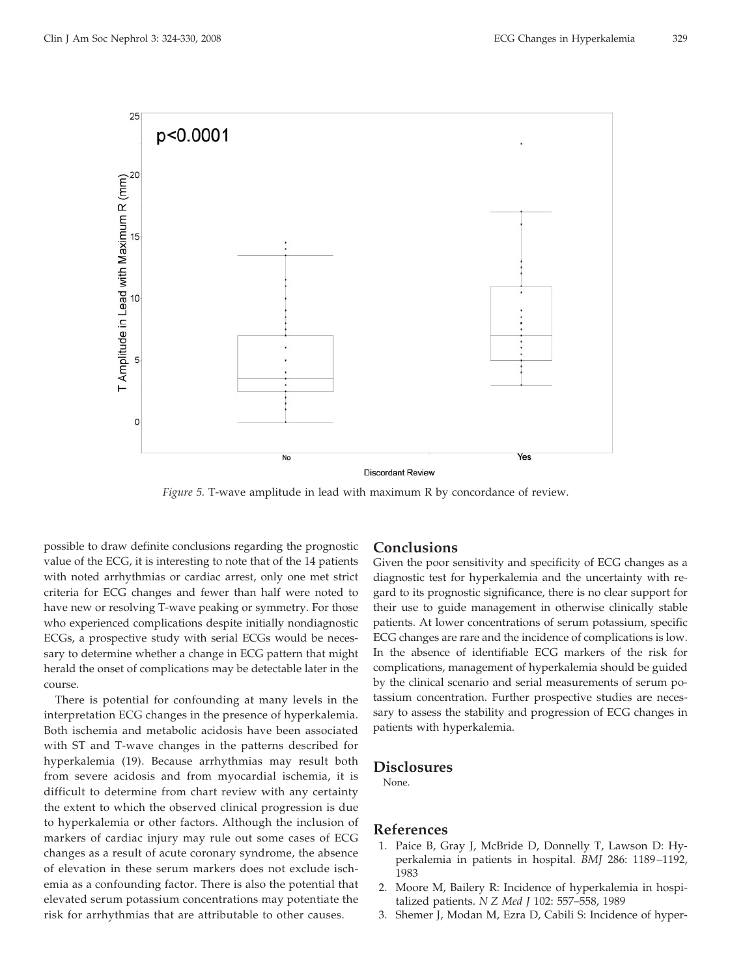

*Figure 5.* T-wave amplitude in lead with maximum R by concordance of review.

possible to draw definite conclusions regarding the prognostic value of the ECG, it is interesting to note that of the 14 patients with noted arrhythmias or cardiac arrest, only one met strict criteria for ECG changes and fewer than half were noted to have new or resolving T-wave peaking or symmetry. For those who experienced complications despite initially nondiagnostic ECGs, a prospective study with serial ECGs would be necessary to determine whether a change in ECG pattern that might herald the onset of complications may be detectable later in the course.

There is potential for confounding at many levels in the interpretation ECG changes in the presence of hyperkalemia. Both ischemia and metabolic acidosis have been associated with ST and T-wave changes in the patterns described for hyperkalemia (19). Because arrhythmias may result both from severe acidosis and from myocardial ischemia, it is difficult to determine from chart review with any certainty the extent to which the observed clinical progression is due to hyperkalemia or other factors. Although the inclusion of markers of cardiac injury may rule out some cases of ECG changes as a result of acute coronary syndrome, the absence of elevation in these serum markers does not exclude ischemia as a confounding factor. There is also the potential that elevated serum potassium concentrations may potentiate the risk for arrhythmias that are attributable to other causes.

### **Conclusions**

Given the poor sensitivity and specificity of ECG changes as a diagnostic test for hyperkalemia and the uncertainty with regard to its prognostic significance, there is no clear support for their use to guide management in otherwise clinically stable patients. At lower concentrations of serum potassium, specific ECG changes are rare and the incidence of complications is low. In the absence of identifiable ECG markers of the risk for complications, management of hyperkalemia should be guided by the clinical scenario and serial measurements of serum potassium concentration. Further prospective studies are necessary to assess the stability and progression of ECG changes in patients with hyperkalemia.

## **Disclosures**

None.

#### **References**

- 1. Paice B, Gray J, McBride D, Donnelly T, Lawson D: Hyperkalemia in patients in hospital. *BMJ* 286: 1189 –1192, 1983
- 2. Moore M, Bailery R: Incidence of hyperkalemia in hospitalized patients. *N Z Med J* 102: 557–558, 1989
- 3. Shemer J, Modan M, Ezra D, Cabili S: Incidence of hyper-